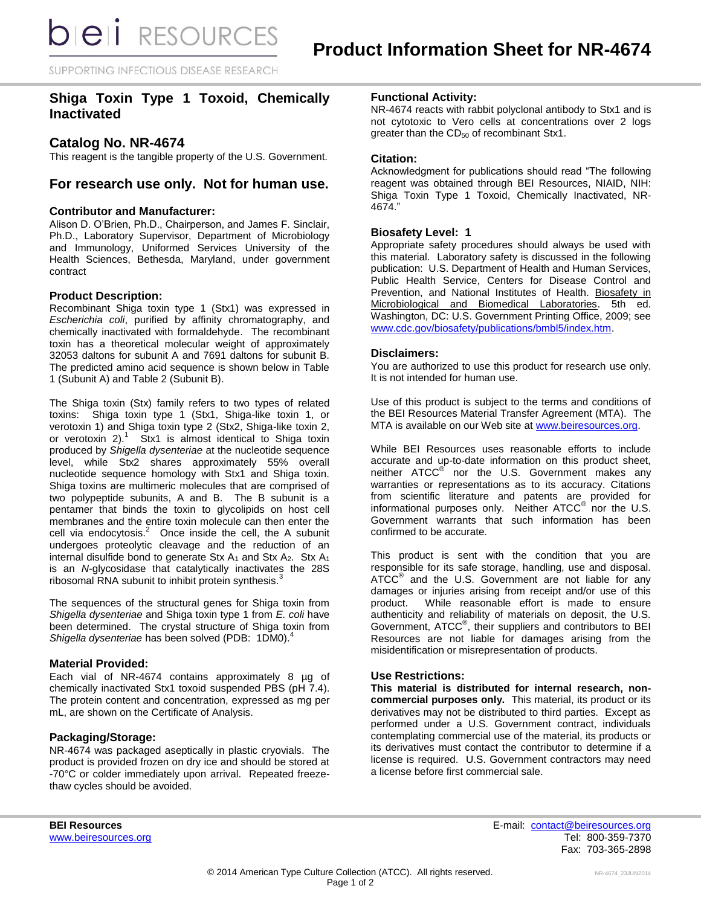SUPPORTING INFECTIOUS DISEASE RESEARCH

# **Shiga Toxin Type 1 Toxoid, Chemically Inactivated**

# **Catalog No. NR-4674**

This reagent is the tangible property of the U.S. Government.

# **For research use only. Not for human use.**

## **Contributor and Manufacturer:**

Alison D. O'Brien, Ph.D., Chairperson, and James F. Sinclair, Ph.D., Laboratory Supervisor, Department of Microbiology and Immunology, Uniformed Services University of the Health Sciences, Bethesda, Maryland, under government contract

## **Product Description:**

Recombinant Shiga toxin type 1 (Stx1) was expressed in *Escherichia coli*, purified by affinity chromatography, and chemically inactivated with formaldehyde. The recombinant toxin has a theoretical molecular weight of approximately 32053 daltons for subunit A and 7691 daltons for subunit B. The predicted amino acid sequence is shown below in Table 1 (Subunit A) and Table 2 (Subunit B).

The Shiga toxin (Stx) family refers to two types of related toxins: Shiga toxin type 1 (Stx1, Shiga-like toxin 1, or verotoxin 1) and Shiga toxin type 2 (Stx2, Shiga-like toxin 2, or verotoxin 2).<sup>1</sup> Stx1 is almost identical to Shiga toxin produced by *Shigella dysenteriae* at the nucleotide sequence level, while Stx2 shares approximately 55% overall nucleotide sequence homology with Stx1 and Shiga toxin. Shiga toxins are multimeric molecules that are comprised of two polypeptide subunits, A and B. The B subunit is a pentamer that binds the toxin to glycolipids on host cell membranes and the entire toxin molecule can then enter the cell via endocytosis. $^2$  Once inside the cell, the A subunit undergoes proteolytic cleavage and the reduction of an internal disulfide bond to generate Stx  $A_1$  and Stx  $A_2$ . Stx  $A_1$ is an *N*-glycosidase that catalytically inactivates the 28S ribosomal RNA subunit to inhibit protein synthesis.<sup>3</sup>

The sequences of the structural genes for Shiga toxin from *Shigella dysenteriae* and Shiga toxin type 1 from *E. coli* have been determined. The crystal structure of Shiga toxin from *Shigella dysenteriae* has been solved (PDB: 1DM0). 4

#### **Material Provided:**

Each vial of NR-4674 contains approximately 8 µg of chemically inactivated Stx1 toxoid suspended PBS (pH 7.4). The protein content and concentration, expressed as mg per mL, are shown on the Certificate of Analysis.

#### **Packaging/Storage:**

NR-4674 was packaged aseptically in plastic cryovials. The product is provided frozen on dry ice and should be stored at -70°C or colder immediately upon arrival. Repeated freezethaw cycles should be avoided.

#### **Functional Activity:**

NR-4674 reacts with rabbit polyclonal antibody to Stx1 and is not cytotoxic to Vero cells at concentrations over 2 logs greater than the  $CD_{50}$  of recombinant Stx1.

### **Citation:**

Acknowledgment for publications should read "The following reagent was obtained through BEI Resources, NIAID, NIH: Shiga Toxin Type 1 Toxoid, Chemically Inactivated, NR-4674."

### **Biosafety Level: 1**

Appropriate safety procedures should always be used with this material. Laboratory safety is discussed in the following publication: U.S. Department of Health and Human Services, Public Health Service, Centers for Disease Control and Prevention, and National Institutes of Health. Biosafety in Microbiological and Biomedical Laboratories. 5th ed. Washington, DC: U.S. Government Printing Office, 2009; see [www.cdc.gov/biosafety/publications/bmbl5/index.htm.](http://www.cdc.gov/biosafety/publications/bmbl5/index.htm)

#### **Disclaimers:**

You are authorized to use this product for research use only. It is not intended for human use.

Use of this product is subject to the terms and conditions of the BEI Resources Material Transfer Agreement (MTA). The MTA is available on our Web site at [www.beiresources.org.](http://www.beiresources.org/)

While BEI Resources uses reasonable efforts to include accurate and up-to-date information on this product sheet, neither ATCC<sup>®</sup> nor the U.S. Government makes any warranties or representations as to its accuracy. Citations from scientific literature and patents are provided for informational purposes only. Neither  $\tt{ATCC}^{\circledR}$  nor the U.S. Government warrants that such information has been confirmed to be accurate.

This product is sent with the condition that you are responsible for its safe storage, handling, use and disposal. ATCC<sup>®</sup> and the U.S. Government are not liable for any damages or injuries arising from receipt and/or use of this product. While reasonable effort is made to ensure authenticity and reliability of materials on deposit, the U.S. Government, ATCC® , their suppliers and contributors to BEI Resources are not liable for damages arising from the misidentification or misrepresentation of products.

## **Use Restrictions:**

**This material is distributed for internal research, noncommercial purposes only.** This material, its product or its derivatives may not be distributed to third parties. Except as performed under a U.S. Government contract, individuals contemplating commercial use of the material, its products or its derivatives must contact the contributor to determine if a license is required. U.S. Government contractors may need a license before first commercial sale.

**BEI Resources** E-mail: [contact@beiresources.org](mailto:contact@beiresources.org) Fax: 703-365-2898